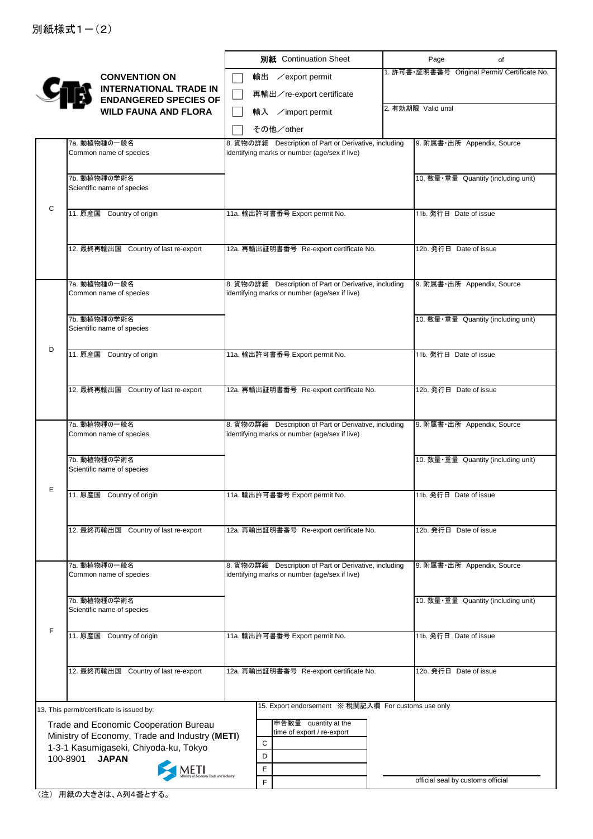|   |                                                                   | 別紙 Continuation Sheet                                                                                  | Page<br>of                                    |
|---|-------------------------------------------------------------------|--------------------------------------------------------------------------------------------------------|-----------------------------------------------|
|   | <b>CONVENTION ON</b>                                              | 輸出 / export permit                                                                                     | 1. 許可書·証明書番号 Original Permit/ Certificate No. |
|   | <b>INTERNATIONAL TRADE IN</b>                                     | 再輸出/re-export certificate                                                                              |                                               |
|   | <b>ENDANGERED SPECIES OF</b><br><b>WILD FAUNA AND FLORA</b>       | 輸入 /import permit                                                                                      | 2. 有効期限 Valid until                           |
|   |                                                                   | その他/other                                                                                              |                                               |
|   | 7a. 動植物種の一般名                                                      | 8. 貨物の詳細 Description of Part or Derivative, including                                                  | 9. 附属書·出所 Appendix, Source                    |
|   | Common name of species                                            | identifying marks or number (age/sex if live)                                                          |                                               |
|   | 7b. 動植物種の学術名                                                      |                                                                                                        | 10. 数量·重量 Quantity (including unit)           |
|   | Scientific name of species                                        |                                                                                                        |                                               |
| C | 11. 原産国 Country of origin                                         |                                                                                                        |                                               |
|   |                                                                   | 11a. 輸出許可書番号 Export permit No.                                                                         | 11b. 発行日 Date of issue                        |
|   |                                                                   |                                                                                                        |                                               |
|   | 12. 最終再輸出国 Country of last re-export                              | 12a. 再輸出証明書番号 Re-export certificate No.                                                                | 12b. 発行日 Date of issue                        |
|   |                                                                   |                                                                                                        |                                               |
|   | 7a. 動植物種の一般名<br>Common name of species                            | 8. 貨物の詳細 Description of Part or Derivative, including<br>identifying marks or number (age/sex if live) | 9. 附属書·出所 Appendix, Source                    |
|   |                                                                   |                                                                                                        |                                               |
|   | 7b. 動植物種の学術名<br>Scientific name of species                        |                                                                                                        | 10. 数量·重量 Quantity (including unit)           |
| D |                                                                   |                                                                                                        |                                               |
|   | 11. 原産国 Country of origin                                         | 11a. 輸出許可書番号 Export permit No.                                                                         | 11b. 発行日 Date of issue                        |
|   |                                                                   |                                                                                                        |                                               |
|   | 12. 最終再輸出国 Country of last re-export                              | 12a. 再輸出証明書番号 Re-export certificate No.                                                                | 12b. 発行日 Date of issue                        |
|   |                                                                   |                                                                                                        |                                               |
|   | 7a. 動植物種の一般名<br>Common name of species                            | 8. 貨物の詳細 Description of Part or Derivative, including<br>identifying marks or number (age/sex if live) | 9. 附属書·出所 Appendix, Source                    |
|   |                                                                   |                                                                                                        |                                               |
|   | 7b. 動植物種の学術名<br>Scientific name of species                        |                                                                                                        | 10. 数量·重量 Quantity (including unit)           |
|   |                                                                   |                                                                                                        |                                               |
| E | 11. 原産国 Country of origin                                         | 11a. 輸出許可書番号 Export permit No.                                                                         | 11b. 発行日 Date of issue                        |
|   |                                                                   |                                                                                                        |                                               |
|   | 12. 最終再輸出国 Country of last re-export                              | 12a. 再輸出証明書番号 Re-export certificate No.                                                                | 12b. 発行日 Date of issue                        |
|   |                                                                   |                                                                                                        |                                               |
|   | 7a. 動植物種の一般名                                                      | 8. 貨物の詳細 Description of Part or Derivative, including                                                  | 9. 附属書·出所 Appendix, Source                    |
|   | Common name of species                                            | identifying marks or number (age/sex if live)                                                          |                                               |
|   | 7b. 動植物種の学術名                                                      |                                                                                                        | 10. 数量·重量 Quantity (including unit)           |
|   | Scientific name of species                                        |                                                                                                        |                                               |
| F | 11. 原産国 Country of origin                                         | 11a. 輸出許可書番号 Export permit No.                                                                         | 11b. 発行日 Date of issue                        |
|   |                                                                   |                                                                                                        |                                               |
|   | 12. 最終再輸出国 Country of last re-export                              | 12a. 再輸出証明書番号 Re-export certificate No.                                                                | 12b. 発行日 Date of issue                        |
|   |                                                                   |                                                                                                        |                                               |
|   | 13. This permit/certificate is issued by:                         | 15. Export endorsement ※税関記入欄 For customs use only                                                     |                                               |
|   | Trade and Economic Cooperation Bureau                             | 申告数量 quantity at the                                                                                   |                                               |
|   | Ministry of Economy, Trade and Industry (METI)                    | time of export / re-export<br>$\mathbf C$                                                              |                                               |
|   | 1-3-1 Kasumigaseki, Chiyoda-ku, Tokyo<br>100-8901<br><b>JAPAN</b> | D                                                                                                      |                                               |
|   | METI                                                              | Е                                                                                                      |                                               |
|   |                                                                   | F                                                                                                      | official seal by customs official             |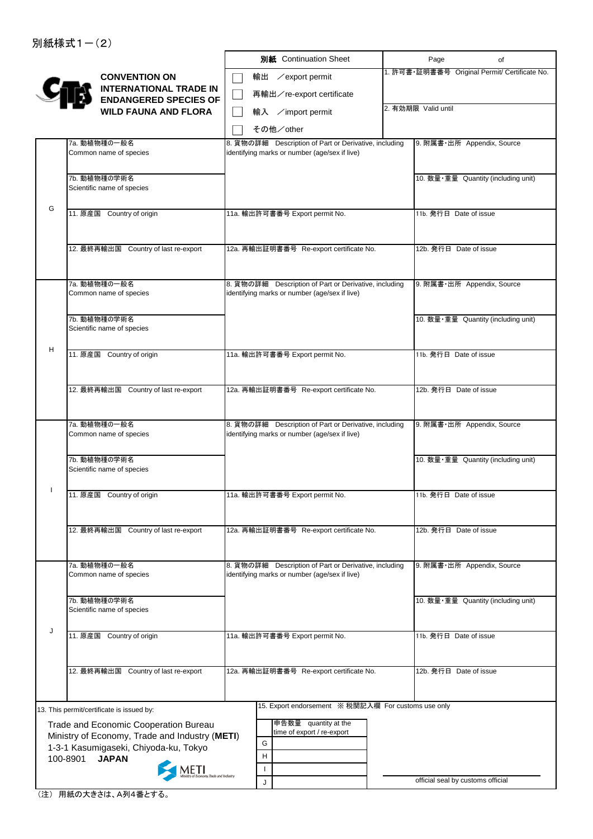|   |                                                                   |   | 別紙 Continuation Sheet                                                                                  | Page                              | of                                            |
|---|-------------------------------------------------------------------|---|--------------------------------------------------------------------------------------------------------|-----------------------------------|-----------------------------------------------|
|   | <b>CONVENTION ON</b>                                              |   | 輸出 / export permit                                                                                     |                                   | 1. 許可書·証明書番号 Original Permit/ Certificate No. |
|   | <b>INTERNATIONAL TRADE IN</b>                                     |   | 再輸出/re-export certificate                                                                              |                                   |                                               |
|   | <b>ENDANGERED SPECIES OF</b><br><b>WILD FAUNA AND FLORA</b>       |   | 輸入 /import permit                                                                                      | 2. 有効期限 Valid until               |                                               |
|   |                                                                   |   | その他/other                                                                                              |                                   |                                               |
|   | 7a. 動植物種の一般名                                                      |   | 8. 貨物の詳細 Description of Part or Derivative, including                                                  |                                   | 9. 附属書·出所 Appendix, Source                    |
|   | Common name of species                                            |   | identifying marks or number (age/sex if live)                                                          |                                   |                                               |
|   |                                                                   |   |                                                                                                        |                                   |                                               |
|   | 7b. 動植物種の学術名<br>Scientific name of species                        |   |                                                                                                        |                                   | 10. 数量·重量 Quantity (including unit)           |
| G |                                                                   |   |                                                                                                        |                                   |                                               |
|   | 11. 原産国 Country of origin                                         |   | 11a. 輸出許可書番号 Export permit No.                                                                         | 11b. 発行日 Date of issue            |                                               |
|   |                                                                   |   |                                                                                                        |                                   |                                               |
|   | 12. 最終再輸出国 Country of last re-export                              |   | 12a. 再輸出証明書番号 Re-export certificate No.                                                                | 12b. 発行日 Date of issue            |                                               |
|   |                                                                   |   |                                                                                                        |                                   |                                               |
|   | 7a. 動植物種の一般名                                                      |   | 8. 貨物の詳細 Description of Part or Derivative, including                                                  |                                   | 9. 附属書·出所 Appendix, Source                    |
|   | Common name of species                                            |   | identifying marks or number (age/sex if live)                                                          |                                   |                                               |
|   | 7b. 動植物種の学術名                                                      |   |                                                                                                        |                                   | 10. 数量·重量 Quantity (including unit)           |
|   | Scientific name of species                                        |   |                                                                                                        |                                   |                                               |
| н | 11. 原産国 Country of origin                                         |   | 11a. 輸出許可書番号 Export permit No.                                                                         | 11b. 発行日 Date of issue            |                                               |
|   |                                                                   |   |                                                                                                        |                                   |                                               |
|   |                                                                   |   |                                                                                                        |                                   |                                               |
|   | 12. 最終再輸出国 Country of last re-export                              |   | 12a. 再輸出証明書番号 Re-export certificate No.                                                                | 12b. 発行日 Date of issue            |                                               |
|   |                                                                   |   |                                                                                                        |                                   |                                               |
|   | 7a. 動植物種の一般名<br>Common name of species                            |   | 8. 貨物の詳細 Description of Part or Derivative, including<br>identifying marks or number (age/sex if live) |                                   | 9. 附属書·出所 Appendix, Source                    |
|   |                                                                   |   |                                                                                                        |                                   |                                               |
|   | 7b. 動植物種の学術名                                                      |   |                                                                                                        |                                   | 10. 数量·重量 Quantity (including unit)           |
|   | Scientific name of species                                        |   |                                                                                                        |                                   |                                               |
|   | 11. 原産国 Country of origin                                         |   | 11a. 輸出許可書番号 Export permit No.                                                                         | 11b. 発行日 Date of issue            |                                               |
|   |                                                                   |   |                                                                                                        |                                   |                                               |
|   | 12. 最終再輸出国 Country of last re-export                              |   | 12a. 再輸出証明書番号 Re-export certificate No.                                                                | 12b. 発行日 Date of issue            |                                               |
|   |                                                                   |   |                                                                                                        |                                   |                                               |
|   | 7a. 動植物種の一般名                                                      |   | 8. 貨物の詳細 Description of Part or Derivative, including                                                  |                                   | 9. 附属書·出所 Appendix, Source                    |
|   | Common name of species                                            |   | identifying marks or number (age/sex if live)                                                          |                                   |                                               |
|   |                                                                   |   |                                                                                                        |                                   |                                               |
|   | 7b. 動植物種の学術名<br>Scientific name of species                        |   |                                                                                                        |                                   | 10. 数量·重量 Quantity (including unit)           |
| J |                                                                   |   |                                                                                                        |                                   |                                               |
|   | 11. 原産国 Country of origin                                         |   | 11a. 輸出許可書番号 Export permit No.                                                                         | 11b. 発行日 Date of issue            |                                               |
|   |                                                                   |   |                                                                                                        |                                   |                                               |
|   | 12. 最終再輸出国 Country of last re-export                              |   | 12a. 再輸出証明書番号 Re-export certificate No.                                                                | 12b. 発行日 Date of issue            |                                               |
|   |                                                                   |   |                                                                                                        |                                   |                                               |
|   | 13. This permit/certificate is issued by:                         |   | 15. Export endorsement ※ 税関記入欄 For customs use only                                                    |                                   |                                               |
|   | Trade and Economic Cooperation Bureau                             |   | 申告数量 quantity at the                                                                                   |                                   |                                               |
|   | Ministry of Economy, Trade and Industry (METI)                    | G | time of export / re-export                                                                             |                                   |                                               |
|   | 1-3-1 Kasumigaseki, Chiyoda-ku, Tokyo<br>100-8901<br><b>JAPAN</b> | H |                                                                                                        |                                   |                                               |
|   |                                                                   |   |                                                                                                        |                                   |                                               |
|   |                                                                   | J |                                                                                                        | official seal by customs official |                                               |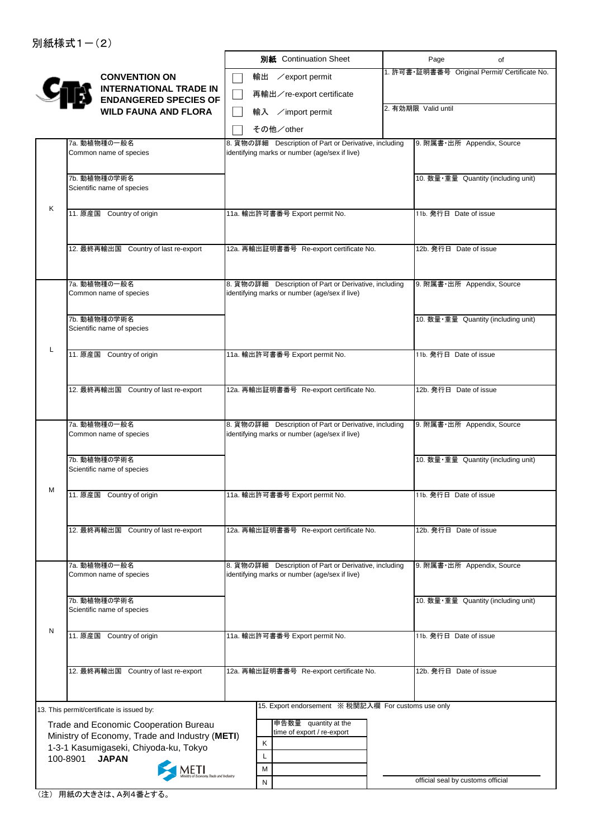|   |                                                                                         |                                | 別紙 Continuation Sheet                                                                                  | Page                              | of                                            |
|---|-----------------------------------------------------------------------------------------|--------------------------------|--------------------------------------------------------------------------------------------------------|-----------------------------------|-----------------------------------------------|
|   | <b>CONVENTION ON</b><br><b>INTERNATIONAL TRADE IN</b>                                   | 輸出<br>∕export permit           |                                                                                                        |                                   | 1. 許可書·証明書番号 Original Permit/ Certificate No. |
|   | <b>ENDANGERED SPECIES OF</b>                                                            |                                | 再輸出/re-export certificate                                                                              |                                   |                                               |
|   | <b>WILD FAUNA AND FLORA</b>                                                             | 輸入 /import permit<br>その他/other |                                                                                                        | 2. 有効期限 Valid until               |                                               |
|   | 7a. 動植物種の一般名                                                                            |                                | 8. 貨物の詳細 Description of Part or Derivative, including                                                  | 9. 附属書·出所 Appendix, Source        |                                               |
|   | Common name of species                                                                  |                                | identifying marks or number (age/sex if live)                                                          |                                   |                                               |
|   | 7b. 動植物種の学術名<br>Scientific name of species                                              |                                |                                                                                                        |                                   | 10. 数量·重量 Quantity (including unit)           |
| Κ | 11. 原産国 Country of origin                                                               | 11a. 輸出許可書番号 Export permit No. |                                                                                                        | 11b. 発行日 Date of issue            |                                               |
|   | 12. 最終再輸出国 Country of last re-export                                                    |                                | 12a. 再輸出証明書番号 Re-export certificate No.                                                                | 12b. 発行日 Date of issue            |                                               |
|   | 7a. 動植物種の一般名<br>Common name of species                                                  |                                | 8. 貨物の詳細 Description of Part or Derivative, including<br>identifying marks or number (age/sex if live) | 9. 附属書·出所 Appendix, Source        |                                               |
|   | 7b. 動植物種の学術名<br>Scientific name of species                                              |                                |                                                                                                        |                                   | 10. 数量·重量 Quantity (including unit)           |
| L | 11. 原産国 Country of origin                                                               | 11a. 輸出許可書番号 Export permit No. |                                                                                                        | 11b. 発行日 Date of issue            |                                               |
|   | 12. 最終再輸出国 Country of last re-export                                                    |                                | 12a. 再輸出証明書番号 Re-export certificate No.                                                                | 12b. 発行日 Date of issue            |                                               |
|   | 7a. 動植物種の一般名<br>Common name of species                                                  |                                | 8. 貨物の詳細 Description of Part or Derivative, including<br>identifying marks or number (age/sex if live) | 9. 附属書·出所 Appendix, Source        |                                               |
|   | 7b. 動植物種の学術名<br>Scientific name of species                                              |                                |                                                                                                        |                                   | 10. 数量·重量 Quantity (including unit)           |
| м | 11. 原産国 Country of origin                                                               | 11a. 輸出許可書番号 Export permit No. |                                                                                                        | 11b. 発行日 Date of issue            |                                               |
|   | 12. 最終再輸出国 Country of last re-export                                                    |                                | 12a. 再輸出証明書番号 Re-export certificate No.                                                                | 12b. 発行日 Date of issue            |                                               |
|   | 7a. 動植物種の一般名<br>Common name of species                                                  |                                | 8. 貨物の詳細 Description of Part or Derivative, including<br>identifying marks or number (age/sex if live) | 9. 附属書·出所 Appendix, Source        |                                               |
|   | 7b. 動植物種の学術名<br>Scientific name of species                                              |                                |                                                                                                        |                                   | 10. 数量·重量 Quantity (including unit)           |
| N | 11. 原産国 Country of origin                                                               | 11a. 輸出許可書番号 Export permit No. |                                                                                                        | 11b. 発行日 Date of issue            |                                               |
|   | 12. 最終再輸出国 Country of last re-export                                                    |                                | 12a. 再輸出証明書番号 Re-export certificate No.                                                                | 12b. 発行日 Date of issue            |                                               |
|   |                                                                                         |                                | 15. Export endorsement ※ 税関記入欄 For customs use only                                                    |                                   |                                               |
|   | 13. This permit/certificate is issued by:                                               |                                | 申告数量 quantity at the                                                                                   |                                   |                                               |
|   | Trade and Economic Cooperation Bureau<br>Ministry of Economy, Trade and Industry (METI) |                                | time of export / re-export                                                                             |                                   |                                               |
|   | 1-3-1 Kasumigaseki, Chiyoda-ku, Tokyo                                                   | Κ                              |                                                                                                        |                                   |                                               |
|   | 100-8901<br><b>JAPAN</b>                                                                | Г                              |                                                                                                        |                                   |                                               |
|   |                                                                                         | M<br>N                         |                                                                                                        | official seal by customs official |                                               |
|   |                                                                                         |                                |                                                                                                        |                                   |                                               |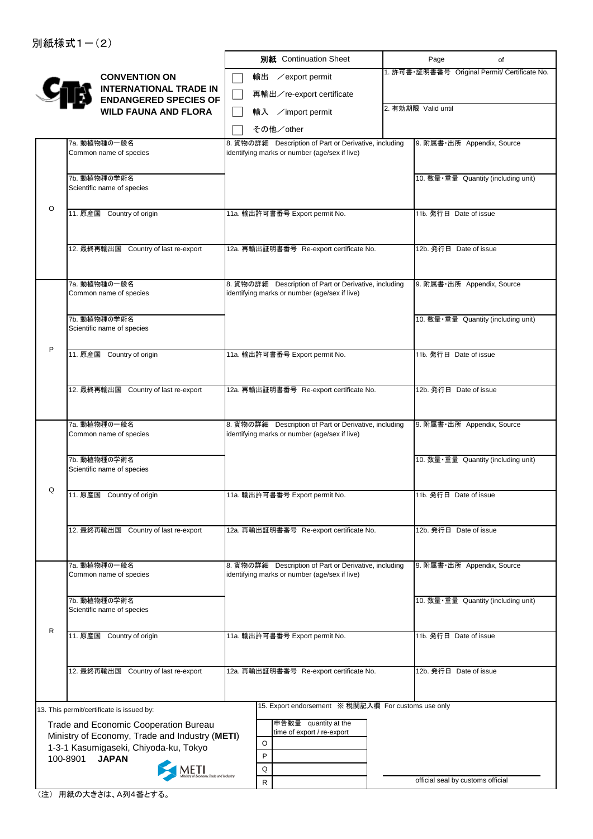|   |                                                                                         |    | 別紙 Continuation Sheet                                                                                  | Page                              | of                                            |
|---|-----------------------------------------------------------------------------------------|----|--------------------------------------------------------------------------------------------------------|-----------------------------------|-----------------------------------------------|
|   | <b>CONVENTION ON</b><br><b>INTERNATIONAL TRADE IN</b>                                   | 輸出 | ∕export permit                                                                                         |                                   | 1. 許可書·証明書番号 Original Permit/ Certificate No. |
|   | <b>ENDANGERED SPECIES OF</b>                                                            |    | 再輸出/re-export certificate                                                                              |                                   |                                               |
|   | <b>WILD FAUNA AND FLORA</b>                                                             |    | 輸入 /import permit                                                                                      | 2. 有効期限 Valid until               |                                               |
|   |                                                                                         |    | その他/other                                                                                              |                                   |                                               |
|   | 7a. 動植物種の一般名                                                                            |    | 8. 貨物の詳細 Description of Part or Derivative, including                                                  |                                   | 9. 附属書·出所 Appendix, Source                    |
|   | Common name of species                                                                  |    | identifying marks or number (age/sex if live)                                                          |                                   |                                               |
|   | 7b. 動植物種の学術名                                                                            |    |                                                                                                        |                                   | 10. 数量·重量 Quantity (including unit)           |
|   | Scientific name of species                                                              |    |                                                                                                        |                                   |                                               |
|   |                                                                                         |    |                                                                                                        |                                   |                                               |
| O | 11. 原産国 Country of origin                                                               |    | 11a. 輸出許可書番号 Export permit No.                                                                         | 11b. 発行日 Date of issue            |                                               |
|   |                                                                                         |    |                                                                                                        |                                   |                                               |
|   | 12. 最終再輸出国 Country of last re-export                                                    |    | 12a. 再輸出証明書番号 Re-export certificate No.                                                                | 12b. 発行日 Date of issue            |                                               |
|   |                                                                                         |    |                                                                                                        |                                   |                                               |
|   |                                                                                         |    |                                                                                                        |                                   |                                               |
|   | 7a. 動植物種の一般名<br>Common name of species                                                  |    | 8. 貨物の詳細 Description of Part or Derivative, including<br>identifying marks or number (age/sex if live) |                                   | 9. 附属書·出所 Appendix, Source                    |
|   |                                                                                         |    |                                                                                                        |                                   |                                               |
|   | 7b. 動植物種の学術名                                                                            |    |                                                                                                        |                                   | 10. 数量·重量 Quantity (including unit)           |
|   | Scientific name of species                                                              |    |                                                                                                        |                                   |                                               |
| P | 11. 原産国 Country of origin                                                               |    | 11a. 輸出許可書番号 Export permit No.                                                                         | 11b. 発行日 Date of issue            |                                               |
|   |                                                                                         |    |                                                                                                        |                                   |                                               |
|   |                                                                                         |    |                                                                                                        |                                   |                                               |
|   | 12. 最終再輸出国 Country of last re-export                                                    |    | 12a. 再輸出証明書番号 Re-export certificate No.                                                                | 12b. 発行日 Date of issue            |                                               |
|   |                                                                                         |    |                                                                                                        |                                   |                                               |
|   | 7a. 動植物種の一般名                                                                            |    | 8. 貨物の詳細 Description of Part or Derivative, including                                                  |                                   | 9. 附属書·出所 Appendix, Source                    |
|   | Common name of species                                                                  |    | identifying marks or number (age/sex if live)                                                          |                                   |                                               |
|   | 7b. 動植物種の学術名                                                                            |    |                                                                                                        |                                   | 10. 数量·重量 Quantity (including unit)           |
|   | Scientific name of species                                                              |    |                                                                                                        |                                   |                                               |
| Q |                                                                                         |    |                                                                                                        |                                   |                                               |
|   | 11. 原産国 Country of origin                                                               |    | 11a. 輸出許可書番号 Export permit No.                                                                         | 11b. 発行日 Date of issue            |                                               |
|   |                                                                                         |    |                                                                                                        |                                   |                                               |
|   | 12. 最終再輸出国 Country of last re-export                                                    |    | 12a. 再輸出証明書番号 Re-export certificate No.                                                                | 12b. 発行日 Date of issue            |                                               |
|   |                                                                                         |    |                                                                                                        |                                   |                                               |
|   | 7a. 動植物種の一般名                                                                            |    | 8. 貨物の詳細 Description of Part or Derivative, including                                                  |                                   | 9. 附属書·出所 Appendix, Source                    |
|   | Common name of species                                                                  |    | identifying marks or number (age/sex if live)                                                          |                                   |                                               |
|   |                                                                                         |    |                                                                                                        |                                   |                                               |
|   | 7b. 動植物種の学術名<br>Scientific name of species                                              |    |                                                                                                        |                                   | 10. 数量·重量 Quantity (including unit)           |
|   |                                                                                         |    |                                                                                                        |                                   |                                               |
| R | 11. 原産国 Country of origin                                                               |    | 11a. 輸出許可書番号 Export permit No.                                                                         | 11b. 発行日 Date of issue            |                                               |
|   |                                                                                         |    |                                                                                                        |                                   |                                               |
|   | 12. 最終再輸出国 Country of last re-export                                                    |    | 12a. 再輸出証明書番号 Re-export certificate No.                                                                | 12b. 発行日 Date of issue            |                                               |
|   |                                                                                         |    |                                                                                                        |                                   |                                               |
|   |                                                                                         |    |                                                                                                        |                                   |                                               |
|   | 13. This permit/certificate is issued by:                                               |    | 15. Export endorsement ※ 税関記入欄 For customs use only                                                    |                                   |                                               |
|   | Trade and Economic Cooperation Bureau                                                   |    | 申告数量 quantity at the<br>time of export / re-export                                                     |                                   |                                               |
|   | Ministry of Economy, Trade and Industry (METI)<br>1-3-1 Kasumigaseki, Chiyoda-ku, Tokyo | O  |                                                                                                        |                                   |                                               |
|   | 100-8901<br><b>JAPAN</b>                                                                | P  |                                                                                                        |                                   |                                               |
|   |                                                                                         | Q  |                                                                                                        |                                   |                                               |
|   |                                                                                         | R  |                                                                                                        | official seal by customs official |                                               |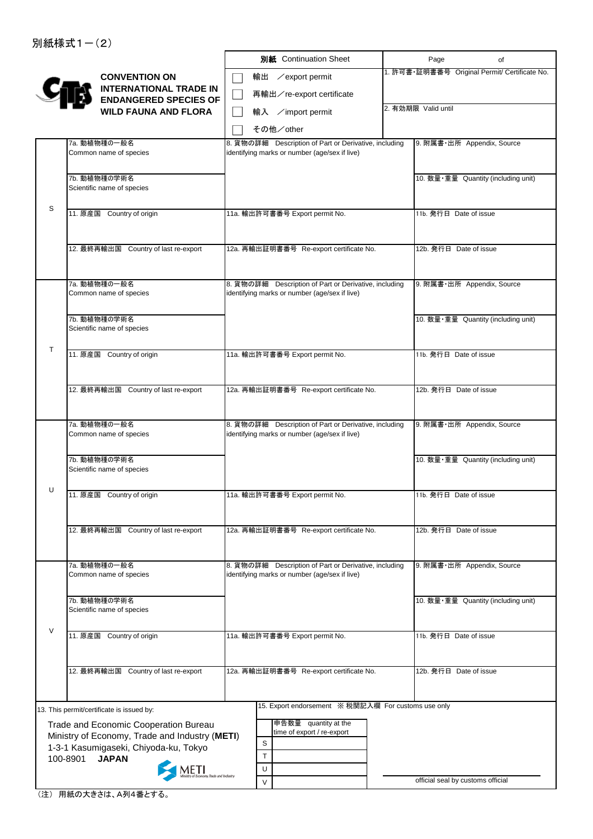|        |                                                                                         | 別紙 Continuation Sheet                                 | Page<br>of                                    |
|--------|-----------------------------------------------------------------------------------------|-------------------------------------------------------|-----------------------------------------------|
|        | <b>CONVENTION ON</b><br><b>INTERNATIONAL TRADE IN</b>                                   | 輸出 / export permit                                    | 1. 許可書·証明書番号 Original Permit/ Certificate No. |
|        | <b>ENDANGERED SPECIES OF</b>                                                            | 再輸出/re-export certificate                             |                                               |
|        | <b>WILD FAUNA AND FLORA</b>                                                             | 輸入 /import permit                                     | 2. 有効期限 Valid until                           |
|        |                                                                                         | その他/other                                             |                                               |
|        | 7a. 動植物種の一般名                                                                            | 8. 貨物の詳細 Description of Part or Derivative, including | 9. 附属書·出所 Appendix, Source                    |
|        | Common name of species                                                                  | identifying marks or number (age/sex if live)         |                                               |
|        | 7b. 動植物種の学術名                                                                            |                                                       | 10. 数量·重量 Quantity (including unit)           |
|        | Scientific name of species                                                              |                                                       |                                               |
| S      |                                                                                         |                                                       |                                               |
|        | 11. 原産国 Country of origin                                                               | 11a. 輸出許可書番号 Export permit No.                        | 11b. 発行日 Date of issue                        |
|        |                                                                                         |                                                       |                                               |
|        | 12. 最終再輸出国 Country of last re-export                                                    | 12a. 再輸出証明書番号 Re-export certificate No.               | 12b. 発行日 Date of issue                        |
|        |                                                                                         |                                                       |                                               |
|        | 7a. 動植物種の一般名                                                                            | 8. 貨物の詳細 Description of Part or Derivative, including | 9. 附属書·出所 Appendix, Source                    |
|        | Common name of species                                                                  | identifying marks or number (age/sex if live)         |                                               |
|        |                                                                                         |                                                       |                                               |
|        | 7b. 動植物種の学術名<br>Scientific name of species                                              |                                                       | 10. 数量·重量 Quantity (including unit)           |
|        |                                                                                         |                                                       |                                               |
| T      | 11. 原産国 Country of origin                                                               | 11a. 輸出許可書番号 Export permit No.                        | 11b. 発行日 Date of issue                        |
|        |                                                                                         |                                                       |                                               |
|        | 12. 最終再輸出国 Country of last re-export                                                    | 12a. 再輸出証明書番号 Re-export certificate No.               | 12b. 発行日 Date of issue                        |
|        |                                                                                         |                                                       |                                               |
|        | 7a. 動植物種の一般名                                                                            | 8. 貨物の詳細 Description of Part or Derivative, including | 9. 附属書·出所 Appendix, Source                    |
|        | Common name of species                                                                  | identifying marks or number (age/sex if live)         |                                               |
|        |                                                                                         |                                                       |                                               |
|        | 7b. 動植物種の学術名<br>Scientific name of species                                              |                                                       | 10. 数量·重量 Quantity (including unit)           |
|        |                                                                                         |                                                       |                                               |
| U      | 11. 原産国 Country of origin                                                               | 11a. 輸出許可書番号 Export permit No.                        | 11b. 発行日 Date of issue                        |
|        |                                                                                         |                                                       |                                               |
|        | 12. 最終再輸出国 Country of last re-export                                                    | 12a. 再輸出証明書番号 Re-export certificate No.               | 12b. 発行日 Date of issue                        |
|        |                                                                                         |                                                       |                                               |
|        | 7a. 動植物種の一般名                                                                            | 8. 貨物の詳細 Description of Part or Derivative, including | 9. 附属書·出所 Appendix, Source                    |
|        | Common name of species                                                                  | identifying marks or number (age/sex if live)         |                                               |
|        |                                                                                         |                                                       |                                               |
|        | 7b. 動植物種の学術名<br>Scientific name of species                                              |                                                       | 10. 数量·重量 Quantity (including unit)           |
| $\vee$ |                                                                                         |                                                       |                                               |
|        | 11. 原産国 Country of origin                                                               | 11a. 輸出許可書番号 Export permit No.                        | 11b. 発行日 Date of issue                        |
|        |                                                                                         |                                                       |                                               |
|        | 12. 最終再輸出国 Country of last re-export                                                    | 12a. 再輸出証明書番号 Re-export certificate No.               | 12b. 発行日 Date of issue                        |
|        |                                                                                         |                                                       |                                               |
|        |                                                                                         | 15. Export endorsement ※ 税関記入欄 For customs use only   |                                               |
|        | 13. This permit/certificate is issued by:                                               | 申告数量 quantity at the                                  |                                               |
|        | Trade and Economic Cooperation Bureau<br>Ministry of Economy, Trade and Industry (METI) | time of export / re-export                            |                                               |
|        | 1-3-1 Kasumigaseki, Chiyoda-ku, Tokyo                                                   | $\mathbf S$<br>$\mathsf{T}$                           |                                               |
|        | 100-8901<br><b>JAPAN</b>                                                                | U                                                     |                                               |
|        |                                                                                         | V                                                     | official seal by customs official             |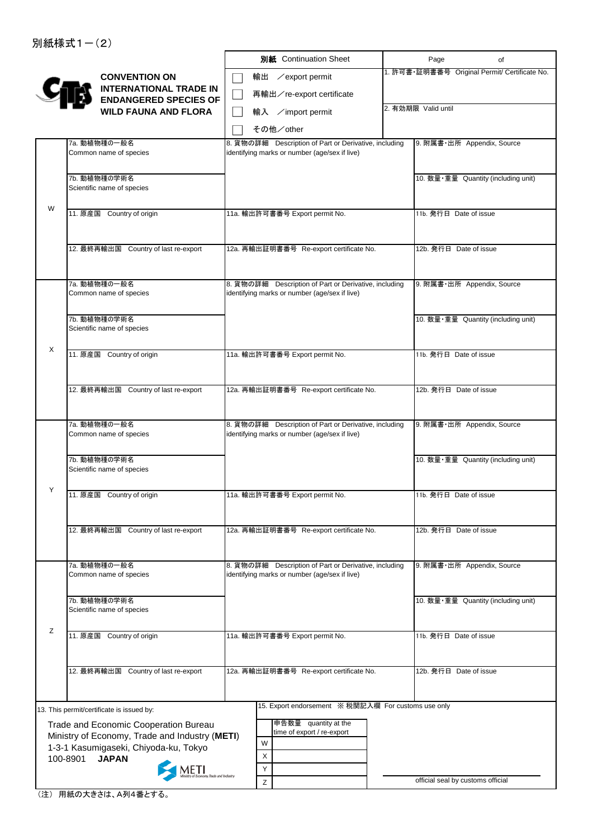|   |                                                                                         | 別紙 Continuation Sheet                                                                                  | Page                              | of                                            |
|---|-----------------------------------------------------------------------------------------|--------------------------------------------------------------------------------------------------------|-----------------------------------|-----------------------------------------------|
|   | <b>CONVENTION ON</b>                                                                    | 輸出 / export permit                                                                                     |                                   | 1. 許可書·証明書番号 Original Permit/ Certificate No. |
|   | <b>INTERNATIONAL TRADE IN</b><br><b>ENDANGERED SPECIES OF</b>                           | 再輸出/re-export certificate                                                                              |                                   |                                               |
|   | <b>WILD FAUNA AND FLORA</b>                                                             | 輸入 /import permit                                                                                      | 2. 有効期限 Valid until               |                                               |
|   |                                                                                         | その他/other                                                                                              |                                   |                                               |
|   | 7a. 動植物種の一般名                                                                            | 8. 貨物の詳細 Description of Part or Derivative, including                                                  | 9. 附属書·出所 Appendix, Source        |                                               |
|   | Common name of species                                                                  | identifying marks or number (age/sex if live)                                                          |                                   |                                               |
|   | 7b. 動植物種の学術名                                                                            |                                                                                                        |                                   | 10. 数量·重量 Quantity (including unit)           |
|   | Scientific name of species                                                              |                                                                                                        |                                   |                                               |
| W | 11. 原産国 Country of origin                                                               | 11a. 輸出許可書番号 Export permit No.                                                                         | 11b. 発行日 Date of issue            |                                               |
|   |                                                                                         |                                                                                                        |                                   |                                               |
|   | 12. 最終再輸出国 Country of last re-export                                                    | 12a. 再輸出証明書番号 Re-export certificate No.                                                                | 12b. 発行日 Date of issue            |                                               |
|   |                                                                                         |                                                                                                        |                                   |                                               |
|   |                                                                                         |                                                                                                        |                                   |                                               |
|   | 7a. 動植物種の一般名<br>Common name of species                                                  | 8. 貨物の詳細 Description of Part or Derivative, including<br>identifying marks or number (age/sex if live) | 9. 附属書·出所 Appendix, Source        |                                               |
|   |                                                                                         |                                                                                                        |                                   |                                               |
|   | 7b. 動植物種の学術名<br>Scientific name of species                                              |                                                                                                        |                                   | 10. 数量·重量 Quantity (including unit)           |
| Χ |                                                                                         |                                                                                                        |                                   |                                               |
|   | 11. 原産国 Country of origin                                                               | 11a. 輸出許可書番号 Export permit No.                                                                         | 11b. 発行日 Date of issue            |                                               |
|   |                                                                                         |                                                                                                        |                                   |                                               |
|   | 12. 最終再輸出国 Country of last re-export                                                    | 12a. 再輸出証明書番号 Re-export certificate No.                                                                | 12b. 発行日 Date of issue            |                                               |
|   |                                                                                         |                                                                                                        |                                   |                                               |
|   | 7a. 動植物種の一般名<br>Common name of species                                                  | 8. 貨物の詳細 Description of Part or Derivative, including<br>identifying marks or number (age/sex if live) | 9. 附属書·出所 Appendix, Source        |                                               |
|   |                                                                                         |                                                                                                        |                                   |                                               |
|   | 7b. 動植物種の学術名                                                                            |                                                                                                        |                                   | 10. 数量·重量 Quantity (including unit)           |
|   | Scientific name of species                                                              |                                                                                                        |                                   |                                               |
| Y | 11. 原産国 Country of origin                                                               | 11a. 輸出許可書番号 Export permit No.                                                                         | 11b. 発行日 Date of issue            |                                               |
|   |                                                                                         |                                                                                                        |                                   |                                               |
|   | 12. 最終再輸出国 Country of last re-export                                                    | 12a. 再輸出証明書番号 Re-export certificate No.                                                                | 12b. 発行日 Date of issue            |                                               |
|   |                                                                                         |                                                                                                        |                                   |                                               |
|   | 7a. 動植物種の一般名                                                                            | 8. 貨物の詳細 Description of Part or Derivative, including                                                  | 9. 附属書·出所 Appendix, Source        |                                               |
|   | Common name of species                                                                  | identifying marks or number (age/sex if live)                                                          |                                   |                                               |
|   | 7b. 動植物種の学術名                                                                            |                                                                                                        |                                   | 10. 数量·重量 Quantity (including unit)           |
|   | Scientific name of species                                                              |                                                                                                        |                                   |                                               |
| Z | 11. 原産国 Country of origin                                                               | 11a. 輸出許可書番号 Export permit No.                                                                         | 11b. 発行日 Date of issue            |                                               |
|   |                                                                                         |                                                                                                        |                                   |                                               |
|   | 12. 最終再輸出国 Country of last re-export                                                    | 12a. 再輸出証明書番号 Re-export certificate No.                                                                | 12b. 発行日 Date of issue            |                                               |
|   |                                                                                         |                                                                                                        |                                   |                                               |
|   |                                                                                         | 15. Export endorsement ※ 税関記入欄 For customs use only                                                    |                                   |                                               |
|   | 13. This permit/certificate is issued by:                                               | 申告数量 quantity at the                                                                                   |                                   |                                               |
|   | Trade and Economic Cooperation Bureau<br>Ministry of Economy, Trade and Industry (METI) | time of export / re-export                                                                             |                                   |                                               |
|   | 1-3-1 Kasumigaseki, Chiyoda-ku, Tokyo                                                   | W<br>$\mathsf X$                                                                                       |                                   |                                               |
|   | 100-8901<br><b>JAPAN</b>                                                                | Y                                                                                                      |                                   |                                               |
|   |                                                                                         | Z                                                                                                      | official seal by customs official |                                               |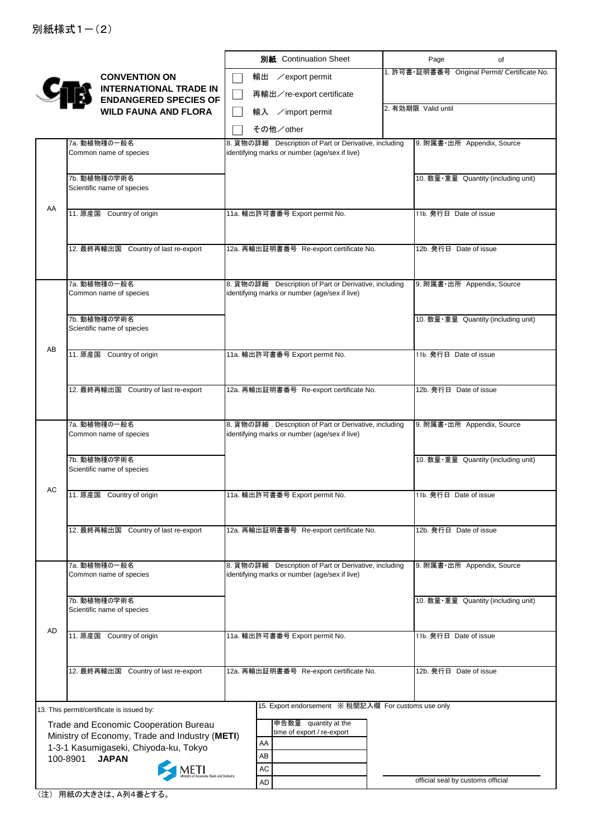|    |                                                                                         | 別紙 Continuation Sheet                                                                                  | Page<br>of                                    |
|----|-----------------------------------------------------------------------------------------|--------------------------------------------------------------------------------------------------------|-----------------------------------------------|
|    | <b>CONVENTION ON</b>                                                                    | 輸出 / export permit                                                                                     | 1. 許可書·証明書番号 Original Permit/ Certificate No. |
|    | <b>INTERNATIONAL TRADE IN</b><br><b>ENDANGERED SPECIES OF</b>                           | 再輸出/re-export certificate                                                                              |                                               |
|    | <b>WILD FAUNA AND FLORA</b>                                                             | 輸入 /import permit                                                                                      | 2. 有効期限 Valid until                           |
|    |                                                                                         | その他/other                                                                                              |                                               |
|    | 7a. 動植物種の一般名                                                                            | 8. 貨物の詳細 Description of Part or Derivative, including                                                  | 9. 附属書·出所 Appendix, Source                    |
|    | Common name of species                                                                  | identifying marks or number (age/sex if live)                                                          |                                               |
|    | 7b. 動植物種の学術名                                                                            |                                                                                                        | 10. 数量·重量 Quantity (including unit)           |
|    | Scientific name of species                                                              |                                                                                                        |                                               |
| AA | 11. 原産国 Country of origin                                                               | 11a. 輸出許可書番号 Export permit No.                                                                         | 11b. 発行日 Date of issue                        |
|    |                                                                                         |                                                                                                        |                                               |
|    | 12. 最終再輸出国 Country of last re-export                                                    | 12a. 再輸出証明書番号 Re-export certificate No.                                                                | 12b. 発行日 Date of issue                        |
|    |                                                                                         |                                                                                                        |                                               |
|    | 7a. 動植物種の一般名                                                                            | 8. 貨物の詳細 Description of Part or Derivative, including                                                  | 9. 附属書·出所 Appendix, Source                    |
|    | Common name of species                                                                  | identifying marks or number (age/sex if live)                                                          |                                               |
|    | 7b. 動植物種の学術名                                                                            |                                                                                                        | 10. 数量·重量 Quantity (including unit)           |
|    | Scientific name of species                                                              |                                                                                                        |                                               |
| AB | 11. 原産国 Country of origin                                                               | 11a. 輸出許可書番号 Export permit No.                                                                         | 11b. 発行日 Date of issue                        |
|    |                                                                                         |                                                                                                        |                                               |
|    | 12. 最終再輸出国 Country of last re-export                                                    | 12a. 再輸出証明書番号 Re-export certificate No.                                                                | 12b. 発行日 Date of issue                        |
|    |                                                                                         |                                                                                                        |                                               |
|    | 7a. 動植物種の一般名                                                                            | 8. 貨物の詳細 Description of Part or Derivative, including                                                  | 9. 附属書·出所 Appendix, Source                    |
|    | Common name of species                                                                  | identifying marks or number (age/sex if live)                                                          |                                               |
|    | 7b. 動植物種の学術名                                                                            |                                                                                                        | 10. 数量·重量 Quantity (including unit)           |
|    | Scientific name of species                                                              |                                                                                                        |                                               |
| AC |                                                                                         |                                                                                                        | 11b. 発行日 Date of issue                        |
|    | 11. 原産国 Country of origin                                                               | 11a. 輸出許可書番号 Export permit No.                                                                         |                                               |
|    |                                                                                         |                                                                                                        |                                               |
|    | 12. 最終再輸出国 Country of last re-export                                                    | 12a. 再輸出証明書番号 Re-export certificate No.                                                                | 12b. 発行日 Date of issue                        |
|    |                                                                                         |                                                                                                        |                                               |
|    | 7a. 動植物種の一般名<br>Common name of species                                                  | 8. 貨物の詳細 Description of Part or Derivative, including<br>identifying marks or number (age/sex if live) | 9. 附属書·出所 Appendix, Source                    |
|    |                                                                                         |                                                                                                        |                                               |
|    | 7b. 動植物種の学術名<br>Scientific name of species                                              |                                                                                                        | 10. 数量·重量 Quantity (including unit)           |
| AD |                                                                                         |                                                                                                        |                                               |
|    | 11. 原産国 Country of origin                                                               | 11a. 輸出許可書番号 Export permit No.                                                                         | 11b. 発行日 Date of issue                        |
|    |                                                                                         |                                                                                                        |                                               |
|    | 12. 最終再輸出国 Country of last re-export                                                    | 12a. 再輸出証明書番号 Re-export certificate No.                                                                | 12b. 発行日 Date of issue                        |
|    |                                                                                         |                                                                                                        |                                               |
|    | 13. This permit/certificate is issued by:                                               | 15. Export endorsement ※ 税関記入欄 For customs use only                                                    |                                               |
|    | Trade and Economic Cooperation Bureau<br>Ministry of Economy, Trade and Industry (METI) | 申告数量 quantity at the<br>time of export / re-export                                                     |                                               |
|    | 1-3-1 Kasumigaseki, Chiyoda-ku, Tokyo                                                   | AA<br>AB                                                                                               |                                               |
|    | 100-8901<br><b>JAPAN</b><br>METI                                                        | <b>AC</b>                                                                                              |                                               |
|    |                                                                                         | <b>AD</b>                                                                                              | official seal by customs official             |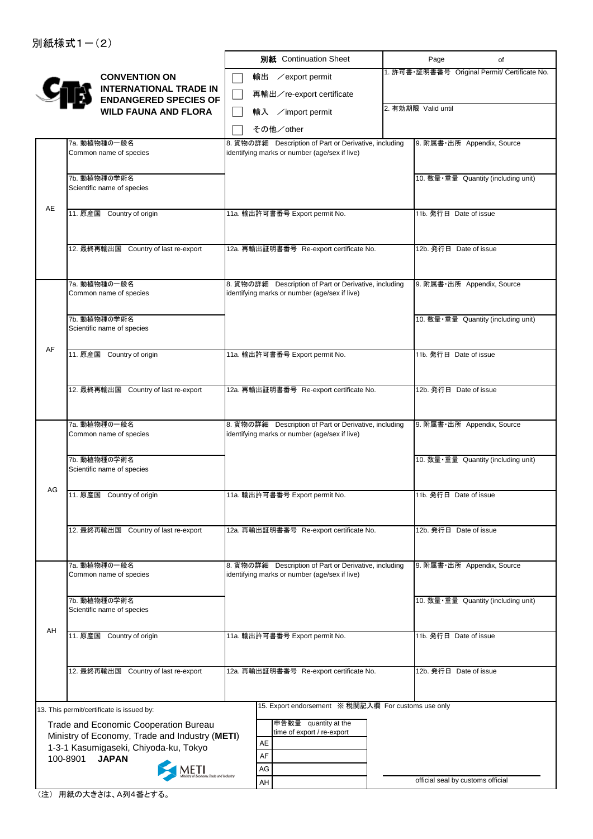|    |                                                                                         | 別紙 Continuation Sheet                                 | Page<br>of                                    |
|----|-----------------------------------------------------------------------------------------|-------------------------------------------------------|-----------------------------------------------|
|    | <b>CONVENTION ON</b>                                                                    | 輸出<br>$\angle$ export permit                          | 1. 許可書·証明書番号 Original Permit/ Certificate No. |
|    | <b>INTERNATIONAL TRADE IN</b>                                                           | 再輸出/re-export certificate                             |                                               |
|    | <b>ENDANGERED SPECIES OF</b><br><b>WILD FAUNA AND FLORA</b>                             | 輸入 /import permit                                     | 2. 有効期限 Valid until                           |
|    |                                                                                         | その他/other                                             |                                               |
|    | 7a. 動植物種の一般名                                                                            | 8. 貨物の詳細 Description of Part or Derivative, including | 9. 附属書·出所 Appendix, Source                    |
|    | Common name of species                                                                  | identifying marks or number (age/sex if live)         |                                               |
|    |                                                                                         |                                                       |                                               |
|    | 7b. 動植物種の学術名<br>Scientific name of species                                              |                                                       | 10. 数量·重量 Quantity (including unit)           |
|    |                                                                                         |                                                       |                                               |
| AE | 11. 原産国 Country of origin                                                               | 11a. 輸出許可書番号 Export permit No.                        | 11b. 発行日 Date of issue                        |
|    |                                                                                         |                                                       |                                               |
|    | 12. 最終再輸出国 Country of last re-export                                                    | 12a. 再輸出証明書番号 Re-export certificate No.               | 12b. 発行日 Date of issue                        |
|    |                                                                                         |                                                       |                                               |
|    | 7a. 動植物種の一般名                                                                            | 8. 貨物の詳細 Description of Part or Derivative, including | 9. 附属書·出所 Appendix, Source                    |
|    | Common name of species                                                                  | identifying marks or number (age/sex if live)         |                                               |
|    |                                                                                         |                                                       |                                               |
|    | 7b. 動植物種の学術名<br>Scientific name of species                                              |                                                       | 10. 数量·重量 Quantity (including unit)           |
|    |                                                                                         |                                                       |                                               |
| AF | 11. 原産国 Country of origin                                                               | 11a. 輸出許可書番号 Export permit No.                        | 11b. 発行日 Date of issue                        |
|    |                                                                                         |                                                       |                                               |
|    | 12. 最終再輸出国 Country of last re-export                                                    | 12a. 再輸出証明書番号 Re-export certificate No.               | 12b. 発行日 Date of issue                        |
|    |                                                                                         |                                                       |                                               |
|    | 7a. 動植物種の一般名                                                                            | 8. 貨物の詳細 Description of Part or Derivative, including | 9. 附属書·出所 Appendix, Source                    |
|    | Common name of species                                                                  | identifying marks or number (age/sex if live)         |                                               |
|    |                                                                                         |                                                       |                                               |
|    | 7b. 動植物種の学術名<br>Scientific name of species                                              |                                                       | 10. 数量·重量 Quantity (including unit)           |
|    |                                                                                         |                                                       |                                               |
| AG | 11. 原産国 Country of origin                                                               | 11a. 輸出許可書番号 Export permit No.                        | 11b. 発行日 Date of issue                        |
|    |                                                                                         |                                                       |                                               |
|    | 12. 最終再輸出国 Country of last re-export                                                    | 12a. 再輸出証明書番号 Re-export certificate No.               | 12b. 発行日 Date of issue                        |
|    |                                                                                         |                                                       |                                               |
|    | 7a. 動植物種の一般名                                                                            | 8. 貨物の詳細 Description of Part or Derivative, including | 9. 附属書·出所 Appendix, Source                    |
|    | Common name of species                                                                  | identifying marks or number (age/sex if live)         |                                               |
|    |                                                                                         |                                                       |                                               |
|    | 7b. 動植物種の学術名<br>Scientific name of species                                              |                                                       | 10. 数量·重量 Quantity (including unit)           |
|    |                                                                                         |                                                       |                                               |
| AH | 11. 原産国 Country of origin                                                               | 11a. 輸出許可書番号 Export permit No.                        | 11b. 発行日 Date of issue                        |
|    |                                                                                         |                                                       |                                               |
|    | 12. 最終再輸出国 Country of last re-export                                                    | 12a. 再輸出証明書番号 Re-export certificate No.               | 12b. 発行日 Date of issue                        |
|    |                                                                                         |                                                       |                                               |
|    |                                                                                         | 15. Export endorsement ※ 税関記入欄 For customs use only   |                                               |
|    | 13. This permit/certificate is issued by:                                               | 申告数量 quantity at the                                  |                                               |
|    | Trade and Economic Cooperation Bureau<br>Ministry of Economy, Trade and Industry (METI) | time of export / re-export                            |                                               |
|    | 1-3-1 Kasumigaseki, Chiyoda-ku, Tokyo                                                   | AE<br>AF                                              |                                               |
|    | 100-8901<br><b>JAPAN</b>                                                                | AG                                                    |                                               |
|    |                                                                                         | AH                                                    | official seal by customs official             |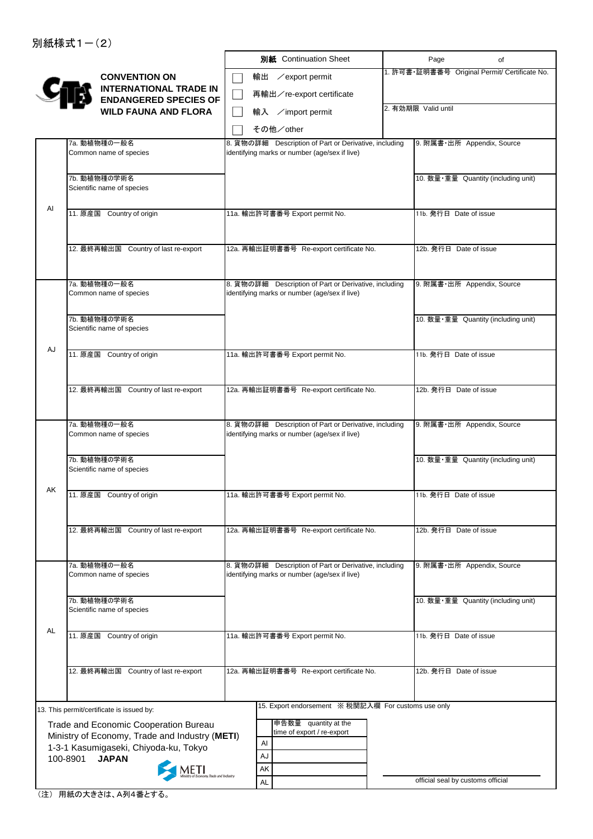|    |                                                                                         | 別紙 Continuation Sheet                                                                                  | Page                              | of                                            |
|----|-----------------------------------------------------------------------------------------|--------------------------------------------------------------------------------------------------------|-----------------------------------|-----------------------------------------------|
|    | <b>CONVENTION ON</b><br><b>INTERNATIONAL TRADE IN</b>                                   | ∕export permit<br>輸出                                                                                   |                                   | 1. 許可書·証明書番号 Original Permit/ Certificate No. |
|    | <b>ENDANGERED SPECIES OF</b>                                                            | 再輸出/re-export certificate                                                                              |                                   |                                               |
|    | <b>WILD FAUNA AND FLORA</b>                                                             | 輸入 /import permit                                                                                      | 2. 有効期限 Valid until               |                                               |
|    |                                                                                         | その他/other                                                                                              |                                   |                                               |
|    | 7a. 動植物種の一般名                                                                            | 8. 貨物の詳細 Description of Part or Derivative, including                                                  | 9. 附属書·出所 Appendix, Source        |                                               |
|    | Common name of species                                                                  | identifying marks or number (age/sex if live)                                                          |                                   |                                               |
|    | 7b. 動植物種の学術名                                                                            |                                                                                                        |                                   | 10. 数量·重量 Quantity (including unit)           |
|    | Scientific name of species                                                              |                                                                                                        |                                   |                                               |
| Al |                                                                                         |                                                                                                        |                                   |                                               |
|    | 11. 原産国 Country of origin                                                               | 11a. 輸出許可書番号 Export permit No.                                                                         | 11b. 発行日 Date of issue            |                                               |
|    |                                                                                         |                                                                                                        |                                   |                                               |
|    | 12. 最終再輸出国 Country of last re-export                                                    | 12a. 再輸出証明書番号 Re-export certificate No.                                                                | 12b. 発行日 Date of issue            |                                               |
|    |                                                                                         |                                                                                                        |                                   |                                               |
|    | 7a. 動植物種の一般名                                                                            | 8. 貨物の詳細 Description of Part or Derivative, including                                                  | 9. 附属書·出所 Appendix, Source        |                                               |
|    | Common name of species                                                                  | identifying marks or number (age/sex if live)                                                          |                                   |                                               |
|    |                                                                                         |                                                                                                        |                                   |                                               |
|    | 7b. 動植物種の学術名<br>Scientific name of species                                              |                                                                                                        |                                   | 10. 数量·重量 Quantity (including unit)           |
|    |                                                                                         |                                                                                                        |                                   |                                               |
| AJ | 11. 原産国 Country of origin                                                               | 11a. 輸出許可書番号 Export permit No.                                                                         | 11b. 発行日 Date of issue            |                                               |
|    |                                                                                         |                                                                                                        |                                   |                                               |
|    | 12. 最終再輸出国 Country of last re-export                                                    | 12a. 再輸出証明書番号 Re-export certificate No.                                                                | 12b. 発行日 Date of issue            |                                               |
|    |                                                                                         |                                                                                                        |                                   |                                               |
|    |                                                                                         |                                                                                                        |                                   |                                               |
|    | 7a. 動植物種の一般名<br>Common name of species                                                  | 8. 貨物の詳細 Description of Part or Derivative, including<br>identifying marks or number (age/sex if live) | 9. 附属書·出所 Appendix, Source        |                                               |
|    |                                                                                         |                                                                                                        |                                   |                                               |
|    | 7b. 動植物種の学術名<br>Scientific name of species                                              |                                                                                                        |                                   | 10. 数量·重量 Quantity (including unit)           |
|    |                                                                                         |                                                                                                        |                                   |                                               |
| AK | 11. 原産国 Country of origin                                                               | 11a. 輸出許可書番号 Export permit No.                                                                         | 11b. 発行日 Date of issue            |                                               |
|    |                                                                                         |                                                                                                        |                                   |                                               |
|    | 12. 最終再輸出国 Country of last re-export                                                    | 12a. 再輸出証明書番号 Re-export certificate No.                                                                | 12b. 発行日 Date of issue            |                                               |
|    |                                                                                         |                                                                                                        |                                   |                                               |
|    |                                                                                         |                                                                                                        |                                   |                                               |
|    | 7a. 動植物種の一般名<br>Common name of species                                                  | 8. 貨物の詳細 Description of Part or Derivative, including<br>identifying marks or number (age/sex if live) | 9. 附属書·出所 Appendix, Source        |                                               |
|    |                                                                                         |                                                                                                        |                                   |                                               |
|    | 7b. 動植物種の学術名<br>Scientific name of species                                              |                                                                                                        |                                   | 10. 数量·重量 Quantity (including unit)           |
|    |                                                                                         |                                                                                                        |                                   |                                               |
| AL | 11. 原産国 Country of origin                                                               | 11a. 輸出許可書番号 Export permit No.                                                                         | 11b. 発行日 Date of issue            |                                               |
|    |                                                                                         |                                                                                                        |                                   |                                               |
|    | 12. 最終再輸出国 Country of last re-export                                                    | 12a. 再輸出証明書番号 Re-export certificate No.                                                                | 12b. 発行日 Date of issue            |                                               |
|    |                                                                                         |                                                                                                        |                                   |                                               |
|    |                                                                                         | 15. Export endorsement ※ 税関記入欄 For customs use only                                                    |                                   |                                               |
|    | 13. This permit/certificate is issued by:                                               |                                                                                                        |                                   |                                               |
|    | Trade and Economic Cooperation Bureau<br>Ministry of Economy, Trade and Industry (METI) | 申告数量 quantity at the<br>time of export / re-export                                                     |                                   |                                               |
|    | 1-3-1 Kasumigaseki, Chiyoda-ku, Tokyo                                                   | AI                                                                                                     |                                   |                                               |
|    | 100-8901<br><b>JAPAN</b>                                                                | AJ                                                                                                     |                                   |                                               |
|    | 1ETI                                                                                    | AK<br>AL                                                                                               | official seal by customs official |                                               |
|    |                                                                                         |                                                                                                        |                                   |                                               |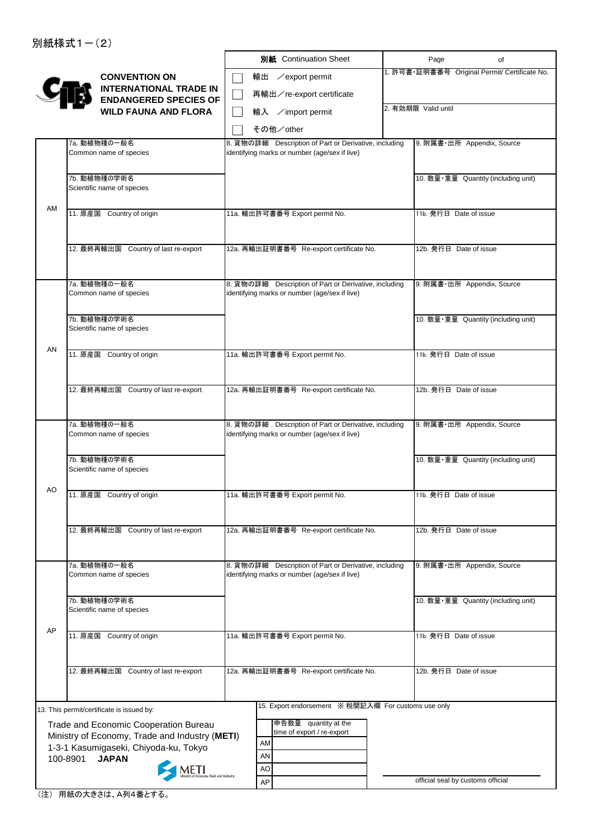|    |                                                                                         | 別紙 Continuation Sheet                                                                                  | Page                              | of                                            |
|----|-----------------------------------------------------------------------------------------|--------------------------------------------------------------------------------------------------------|-----------------------------------|-----------------------------------------------|
|    | <b>CONVENTION ON</b>                                                                    | 輸出<br>∕export permit                                                                                   |                                   | 1. 許可書·証明書番号 Original Permit/ Certificate No. |
|    | <b>INTERNATIONAL TRADE IN</b><br><b>ENDANGERED SPECIES OF</b>                           | 再輸出/re-export certificate                                                                              |                                   |                                               |
|    | <b>WILD FAUNA AND FLORA</b>                                                             | 輸入 /import permit                                                                                      | 2. 有効期限 Valid until               |                                               |
|    |                                                                                         | その他/other                                                                                              |                                   |                                               |
|    | 7a. 動植物種の一般名                                                                            | 8. 貨物の詳細 Description of Part or Derivative, including                                                  | 9. 附属書·出所 Appendix, Source        |                                               |
|    | Common name of species                                                                  | identifying marks or number (age/sex if live)                                                          |                                   |                                               |
|    | 7b. 動植物種の学術名                                                                            |                                                                                                        |                                   | 10. 数量·重量 Quantity (including unit)           |
|    | Scientific name of species                                                              |                                                                                                        |                                   |                                               |
| AM | 11. 原産国 Country of origin                                                               | 11a. 輸出許可書番号 Export permit No.                                                                         | 11b. 発行日 Date of issue            |                                               |
|    |                                                                                         |                                                                                                        |                                   |                                               |
|    |                                                                                         |                                                                                                        |                                   |                                               |
|    | 12. 最終再輸出国 Country of last re-export                                                    | 12a. 再輸出証明書番号 Re-export certificate No.                                                                | 12b. 発行日 Date of issue            |                                               |
|    |                                                                                         |                                                                                                        |                                   |                                               |
|    | 7a. 動植物種の一般名<br>Common name of species                                                  | 8. 貨物の詳細 Description of Part or Derivative, including<br>identifying marks or number (age/sex if live) | 9. 附属書·出所 Appendix, Source        |                                               |
|    |                                                                                         |                                                                                                        |                                   |                                               |
|    | 7b. 動植物種の学術名<br>Scientific name of species                                              |                                                                                                        |                                   | 10. 数量·重量 Quantity (including unit)           |
|    |                                                                                         |                                                                                                        |                                   |                                               |
| AN | 11. 原産国 Country of origin                                                               | 11a. 輸出許可書番号 Export permit No.                                                                         | 11b. 発行日 Date of issue            |                                               |
|    |                                                                                         |                                                                                                        |                                   |                                               |
|    | 12. 最終再輸出国 Country of last re-export                                                    | 12a. 再輸出証明書番号 Re-export certificate No.                                                                | 12b. 発行日 Date of issue            |                                               |
|    |                                                                                         |                                                                                                        |                                   |                                               |
|    | 7a. 動植物種の一般名                                                                            | 8. 貨物の詳細 Description of Part or Derivative, including                                                  | 9. 附属書·出所 Appendix, Source        |                                               |
|    | Common name of species                                                                  | identifying marks or number (age/sex if live)                                                          |                                   |                                               |
|    | 7b. 動植物種の学術名                                                                            |                                                                                                        |                                   | 10. 数量·重量 Quantity (including unit)           |
|    | Scientific name of species                                                              |                                                                                                        |                                   |                                               |
| AO | 11. 原産国 Country of origin                                                               | 11a. 輸出許可書番号 Export permit No.                                                                         | 11b. 発行日 Date of issue            |                                               |
|    |                                                                                         |                                                                                                        |                                   |                                               |
|    | 12. 最終再輸出国 Country of last re-export                                                    | 12a. 再輸出証明書番号 Re-export certificate No.                                                                | 12b. 発行日 Date of issue            |                                               |
|    |                                                                                         |                                                                                                        |                                   |                                               |
|    |                                                                                         |                                                                                                        |                                   |                                               |
|    | 7a. 動植物種の一般名<br>Common name of species                                                  | 8. 貨物の詳細 Description of Part or Derivative, including<br>identifying marks or number (age/sex if live) | 9. 附属書·出所 Appendix, Source        |                                               |
|    |                                                                                         |                                                                                                        |                                   |                                               |
|    | 7b. 動植物種の学術名<br>Scientific name of species                                              |                                                                                                        |                                   | 10. 数量·重量 Quantity (including unit)           |
| AP |                                                                                         |                                                                                                        |                                   |                                               |
|    | 11. 原産国 Country of origin                                                               | 11a. 輸出許可書番号 Export permit No.                                                                         | 11b. 発行日 Date of issue            |                                               |
|    |                                                                                         |                                                                                                        |                                   |                                               |
|    | 12. 最終再輸出国 Country of last re-export                                                    | 12a. 再輸出証明書番号 Re-export certificate No.                                                                | 12b. 発行日 Date of issue            |                                               |
|    |                                                                                         |                                                                                                        |                                   |                                               |
|    | 13. This permit/certificate is issued by:                                               | 15. Export endorsement ※ 税関記入欄 For customs use only                                                    |                                   |                                               |
|    | Trade and Economic Cooperation Bureau                                                   | 申告数量 quantity at the                                                                                   |                                   |                                               |
|    | Ministry of Economy, Trade and Industry (METI)<br>1-3-1 Kasumigaseki, Chiyoda-ku, Tokyo | time of export / re-export<br>AM                                                                       |                                   |                                               |
|    | 100-8901<br><b>JAPAN</b>                                                                | AN                                                                                                     |                                   |                                               |
|    |                                                                                         | AO                                                                                                     | official seal by customs official |                                               |
|    |                                                                                         | AP                                                                                                     |                                   |                                               |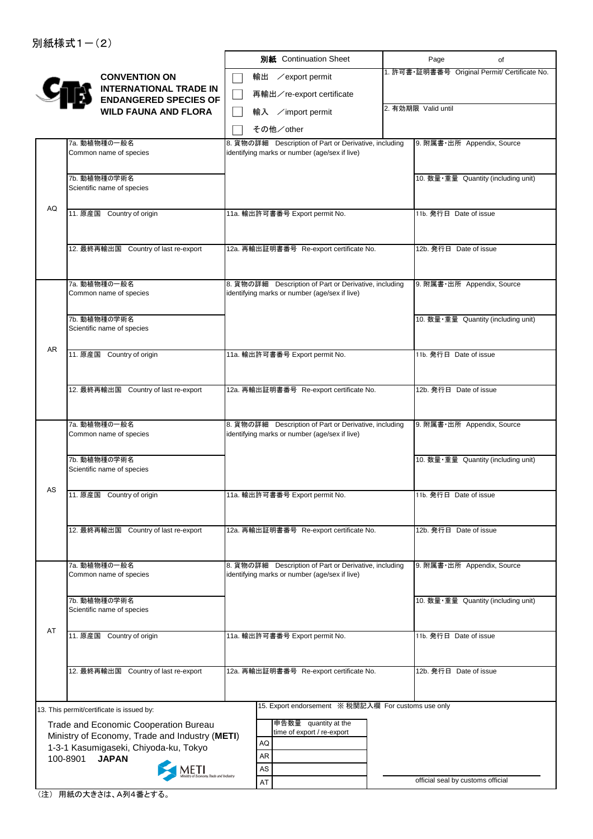|    |                                                               | 別紙 Continuation Sheet                                                                                  | Page                              | of                                            |
|----|---------------------------------------------------------------|--------------------------------------------------------------------------------------------------------|-----------------------------------|-----------------------------------------------|
|    | <b>CONVENTION ON</b>                                          | 輸出<br>∕export permit                                                                                   |                                   | 1. 許可書·証明書番号 Original Permit/ Certificate No. |
|    | <b>INTERNATIONAL TRADE IN</b><br><b>ENDANGERED SPECIES OF</b> | 再輸出/re-export certificate                                                                              |                                   |                                               |
|    | <b>WILD FAUNA AND FLORA</b>                                   | 輸入 /import permit                                                                                      | 2. 有効期限 Valid until               |                                               |
|    |                                                               | その他/other                                                                                              |                                   |                                               |
|    | 7a. 動植物種の一般名                                                  | 8. 貨物の詳細 Description of Part or Derivative, including                                                  |                                   | 9. 附属書·出所 Appendix, Source                    |
|    | Common name of species                                        | identifying marks or number (age/sex if live)                                                          |                                   |                                               |
|    |                                                               |                                                                                                        |                                   |                                               |
|    | 7b. 動植物種の学術名<br>Scientific name of species                    |                                                                                                        |                                   | 10. 数量·重量 Quantity (including unit)           |
|    |                                                               |                                                                                                        |                                   |                                               |
| AQ | 11. 原産国 Country of origin                                     | 11a. 輸出許可書番号 Export permit No.                                                                         | 11b. 発行日 Date of issue            |                                               |
|    |                                                               |                                                                                                        |                                   |                                               |
|    | 12. 最終再輸出国 Country of last re-export                          | 12a. 再輸出証明書番号 Re-export certificate No.                                                                | 12b. 発行日 Date of issue            |                                               |
|    |                                                               |                                                                                                        |                                   |                                               |
|    |                                                               |                                                                                                        |                                   |                                               |
|    | 7a. 動植物種の一般名<br>Common name of species                        | 8. 貨物の詳細 Description of Part or Derivative, including                                                  |                                   | 9. 附属書·出所 Appendix, Source                    |
|    |                                                               | identifying marks or number (age/sex if live)                                                          |                                   |                                               |
|    | 7b. 動植物種の学術名                                                  |                                                                                                        |                                   | 10. 数量·重量 Quantity (including unit)           |
|    | Scientific name of species                                    |                                                                                                        |                                   |                                               |
| AR |                                                               |                                                                                                        |                                   |                                               |
|    | 11. 原産国 Country of origin                                     | 11a. 輸出許可書番号 Export permit No.                                                                         | 11b. 発行日 Date of issue            |                                               |
|    |                                                               |                                                                                                        |                                   |                                               |
|    | 12. 最終再輸出国 Country of last re-export                          | 12a. 再輸出証明書番号 Re-export certificate No.                                                                | 12b. 発行日 Date of issue            |                                               |
|    |                                                               |                                                                                                        |                                   |                                               |
|    |                                                               |                                                                                                        |                                   |                                               |
|    | 7a. 動植物種の一般名<br>Common name of species                        | 8. 貨物の詳細 Description of Part or Derivative, including<br>identifying marks or number (age/sex if live) |                                   | 9. 附属書·出所 Appendix, Source                    |
|    |                                                               |                                                                                                        |                                   |                                               |
|    | 7b. 動植物種の学術名                                                  |                                                                                                        |                                   | 10. 数量·重量 Quantity (including unit)           |
|    | Scientific name of species                                    |                                                                                                        |                                   |                                               |
| AS | 11. 原産国 Country of origin                                     | 11a. 輸出許可書番号 Export permit No.                                                                         | 11b. 発行日 Date of issue            |                                               |
|    |                                                               |                                                                                                        |                                   |                                               |
|    |                                                               |                                                                                                        |                                   |                                               |
|    | 12. 最終再輸出国 Country of last re-export                          | 12a. 再輸出証明書番号 Re-export certificate No.                                                                | 12b. 発行日 Date of issue            |                                               |
|    |                                                               |                                                                                                        |                                   |                                               |
|    | 7a. 動植物種の一般名                                                  | 8. 貨物の詳細 Description of Part or Derivative, including                                                  |                                   | 9. 附属書·出所 Appendix, Source                    |
|    | Common name of species                                        | identifying marks or number (age/sex if live)                                                          |                                   |                                               |
|    |                                                               |                                                                                                        |                                   |                                               |
|    | 7b. 動植物種の学術名<br>Scientific name of species                    |                                                                                                        |                                   | 10. 数量·重量 Quantity (including unit)           |
|    |                                                               |                                                                                                        |                                   |                                               |
| AT | 11. 原産国 Country of origin                                     | 11a. 輸出許可書番号 Export permit No.                                                                         | 11b. 発行日 Date of issue            |                                               |
|    |                                                               |                                                                                                        |                                   |                                               |
|    | 12. 最終再輸出国 Country of last re-export                          | 12a. 再輸出証明書番号 Re-export certificate No.                                                                | 12b. 発行日 Date of issue            |                                               |
|    |                                                               |                                                                                                        |                                   |                                               |
|    |                                                               |                                                                                                        |                                   |                                               |
|    | 13. This permit/certificate is issued by:                     | 15. Export endorsement ※ 税関記入欄 For customs use only                                                    |                                   |                                               |
|    | Trade and Economic Cooperation Bureau                         | 申告数量 quantity at the                                                                                   |                                   |                                               |
|    | Ministry of Economy, Trade and Industry (METI)                | time of export / re-export<br>AQ                                                                       |                                   |                                               |
|    | 1-3-1 Kasumigaseki, Chiyoda-ku, Tokyo                         | AR                                                                                                     |                                   |                                               |
|    | 100-8901<br><b>JAPAN</b>                                      | AS                                                                                                     |                                   |                                               |
|    |                                                               | AT                                                                                                     | official seal by customs official |                                               |